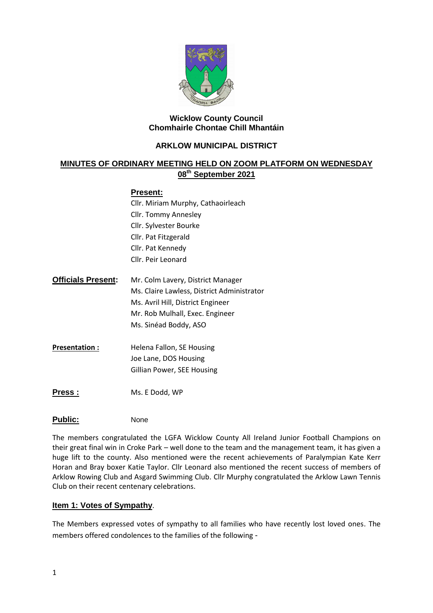

### **Wicklow County Council Chomhairle Chontae Chill Mhantáin**

## **ARKLOW MUNICIPAL DISTRICT**

# **MINUTES OF ORDINARY MEETING HELD ON ZOOM PLATFORM ON WEDNESDAY 08th September 2021**

### **Present:**

Cllr. Miriam Murphy, Cathaoirleach Cllr. Tommy Annesley Cllr. Sylvester Bourke Cllr. Pat Fitzgerald Cllr. Pat Kennedy Cllr. Peir Leonard

- **Officials Present:** Mr. Colm Lavery, District Manager Ms. Claire Lawless, District Administrator Ms. Avril Hill, District Engineer Mr. Rob Mulhall, Exec. Engineer Ms. Sinéad Boddy, ASO
- **Presentation :** Helena Fallon, SE Housing Joe Lane, DOS Housing Gillian Power, SEE Housing
- **Press :** Ms. E Dodd, WP

### Public: None

The members congratulated the LGFA Wicklow County All Ireland Junior Football Champions on their great final win in Croke Park – well done to the team and the management team, it has given a huge lift to the county. Also mentioned were the recent achievements of Paralympian Kate Kerr Horan and Bray boxer Katie Taylor. Cllr Leonard also mentioned the recent success of members of Arklow Rowing Club and Asgard Swimming Club. Cllr Murphy congratulated the Arklow Lawn Tennis Club on their recent centenary celebrations.

### **Item 1: Votes of Sympathy**.

The Members expressed votes of sympathy to all families who have recently lost loved ones. The members offered condolences to the families of the following -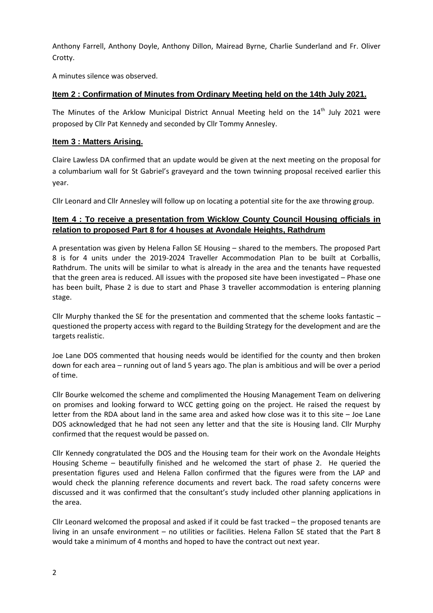Anthony Farrell, Anthony Doyle, Anthony Dillon, Mairead Byrne, Charlie Sunderland and Fr. Oliver Crotty.

A minutes silence was observed.

# **Item 2 : Confirmation of Minutes from Ordinary Meeting held on the 14th July 2021.**

The Minutes of the Arklow Municipal District Annual Meeting held on the 14<sup>th</sup> July 2021 were proposed by Cllr Pat Kennedy and seconded by Cllr Tommy Annesley.

## **Item 3 : Matters Arising.**

Claire Lawless DA confirmed that an update would be given at the next meeting on the proposal for a columbarium wall for St Gabriel's graveyard and the town twinning proposal received earlier this year.

Cllr Leonard and Cllr Annesley will follow up on locating a potential site for the axe throwing group.

# **Item 4 : To receive a presentation from Wicklow County Council Housing officials in relation to proposed Part 8 for 4 houses at Avondale Heights, Rathdrum**

A presentation was given by Helena Fallon SE Housing – shared to the members. The proposed Part 8 is for 4 units under the 2019-2024 Traveller Accommodation Plan to be built at Corballis, Rathdrum. The units will be similar to what is already in the area and the tenants have requested that the green area is reduced. All issues with the proposed site have been investigated – Phase one has been built, Phase 2 is due to start and Phase 3 traveller accommodation is entering planning stage.

Cllr Murphy thanked the SE for the presentation and commented that the scheme looks fantastic – questioned the property access with regard to the Building Strategy for the development and are the targets realistic.

Joe Lane DOS commented that housing needs would be identified for the county and then broken down for each area – running out of land 5 years ago. The plan is ambitious and will be over a period of time.

Cllr Bourke welcomed the scheme and complimented the Housing Management Team on delivering on promises and looking forward to WCC getting going on the project. He raised the request by letter from the RDA about land in the same area and asked how close was it to this site – Joe Lane DOS acknowledged that he had not seen any letter and that the site is Housing land. Cllr Murphy confirmed that the request would be passed on.

Cllr Kennedy congratulated the DOS and the Housing team for their work on the Avondale Heights Housing Scheme – beautifully finished and he welcomed the start of phase 2. He queried the presentation figures used and Helena Fallon confirmed that the figures were from the LAP and would check the planning reference documents and revert back. The road safety concerns were discussed and it was confirmed that the consultant's study included other planning applications in the area.

Cllr Leonard welcomed the proposal and asked if it could be fast tracked – the proposed tenants are living in an unsafe environment – no utilities or facilities. Helena Fallon SE stated that the Part 8 would take a minimum of 4 months and hoped to have the contract out next year.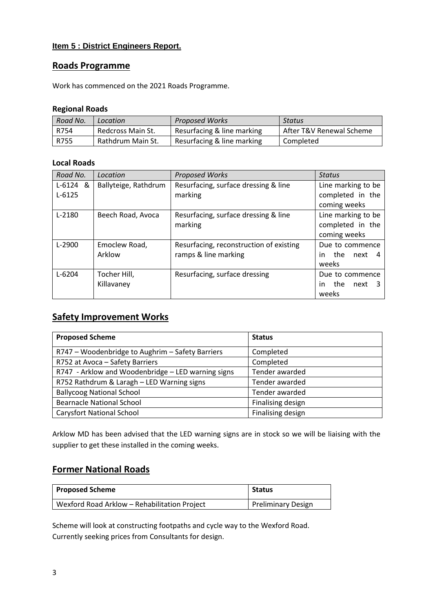## **Item 5 : District Engineers Report.**

# **Roads Programme**

Work has commenced on the 2021 Roads Programme.

### **Regional Roads**

| Road No. | Location          | <b>Proposed Works</b>      | Status                   |
|----------|-------------------|----------------------------|--------------------------|
| R754     | Redcross Main St. | Resurfacing & line marking | After T&V Renewal Scheme |
| R755     | Rathdrum Main St. | Resurfacing & line marking | Completed                |

### **Local Roads**

| Road No.   | Location             | <b>Proposed Works</b>                   | <b>Status</b>           |
|------------|----------------------|-----------------------------------------|-------------------------|
| $L-6124$ & | Ballyteige, Rathdrum | Resurfacing, surface dressing & line    | Line marking to be      |
| $L - 6125$ |                      | marking                                 | completed in the        |
|            |                      |                                         | coming weeks            |
| $L-2180$   | Beech Road, Avoca    | Resurfacing, surface dressing & line    | Line marking to be      |
|            |                      | marking                                 | completed in the        |
|            |                      |                                         | coming weeks            |
| $L-2900$   | Emoclew Road,        | Resurfacing, reconstruction of existing | Due to commence         |
|            | Arklow               | ramps & line marking                    | the<br>next<br>in.<br>4 |
|            |                      |                                         | weeks                   |
| $L - 6204$ | Tocher Hill,         | Resurfacing, surface dressing           | Due to commence         |
|            | Killavaney           |                                         | the<br>next<br>in       |
|            |                      |                                         | weeks                   |

# **Safety Improvement Works**

| <b>Proposed Scheme</b>                             | <b>Status</b>     |
|----------------------------------------------------|-------------------|
| R747 - Woodenbridge to Aughrim - Safety Barriers   | Completed         |
| R752 at Avoca - Safety Barriers                    | Completed         |
| R747 - Arklow and Woodenbridge - LED warning signs | Tender awarded    |
| R752 Rathdrum & Laragh - LED Warning signs         | Tender awarded    |
| <b>Ballycoog National School</b>                   | Tender awarded    |
| <b>Bearnacle National School</b>                   | Finalising design |
| <b>Carysfort National School</b>                   | Finalising design |

Arklow MD has been advised that the LED warning signs are in stock so we will be liaising with the supplier to get these installed in the coming weeks.

# **Former National Roads**

| Proposed Scheme                              | <b>Status</b>             |
|----------------------------------------------|---------------------------|
| Wexford Road Arklow - Rehabilitation Project | <b>Preliminary Design</b> |

Scheme will look at constructing footpaths and cycle way to the Wexford Road. Currently seeking prices from Consultants for design.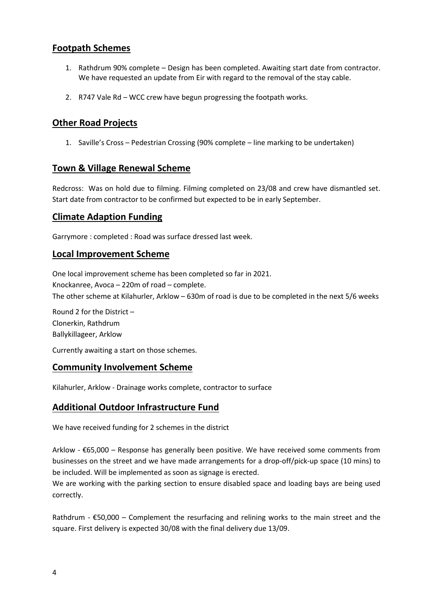# **Footpath Schemes**

- 1. Rathdrum 90% complete Design has been completed. Awaiting start date from contractor. We have requested an update from Eir with regard to the removal of the stay cable.
- 2. R747 Vale Rd WCC crew have begun progressing the footpath works.

# **Other Road Projects**

1. Saville's Cross – Pedestrian Crossing (90% complete – line marking to be undertaken)

# **Town & Village Renewal Scheme**

Redcross: Was on hold due to filming. Filming completed on 23/08 and crew have dismantled set. Start date from contractor to be confirmed but expected to be in early September.

# **Climate Adaption Funding**

Garrymore : completed : Road was surface dressed last week.

# **Local Improvement Scheme**

One local improvement scheme has been completed so far in 2021. Knockanree, Avoca – 220m of road – complete. The other scheme at Kilahurler, Arklow – 630m of road is due to be completed in the next 5/6 weeks

Round 2 for the District – Clonerkin, Rathdrum Ballykillageer, Arklow

Currently awaiting a start on those schemes.

# **Community Involvement Scheme**

Kilahurler, Arklow - Drainage works complete, contractor to surface

# **Additional Outdoor Infrastructure Fund**

We have received funding for 2 schemes in the district

Arklow - €65,000 – Response has generally been positive. We have received some comments from businesses on the street and we have made arrangements for a drop-off/pick-up space (10 mins) to be included. Will be implemented as soon as signage is erected.

We are working with the parking section to ensure disabled space and loading bays are being used correctly.

Rathdrum -  $E$ 50,000 – Complement the resurfacing and relining works to the main street and the square. First delivery is expected 30/08 with the final delivery due 13/09.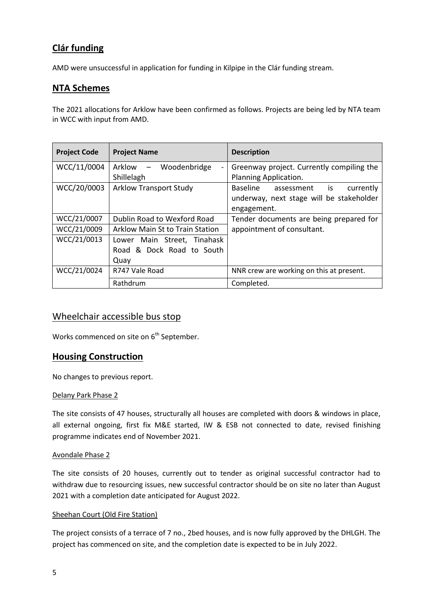# **Clár funding**

AMD were unsuccessful in application for funding in Kilpipe in the Clár funding stream.

# **NTA Schemes**

The 2021 allocations for Arklow have been confirmed as follows. Projects are being led by NTA team in WCC with input from AMD.

| <b>Project Code</b> | <b>Project Name</b>                                | <b>Description</b>                        |
|---------------------|----------------------------------------------------|-------------------------------------------|
| WCC/11/0004         | Arklow<br>Woodenbridge<br>$\overline{\phantom{0}}$ | Greenway project. Currently compiling the |
|                     | Shillelagh                                         | Planning Application.                     |
| WCC/20/0003         | <b>Arklow Transport Study</b>                      | Baseline<br>assessment is<br>currently    |
|                     |                                                    | underway, next stage will be stakeholder  |
|                     |                                                    | engagement.                               |
| WCC/21/0007         | Dublin Road to Wexford Road                        | Tender documents are being prepared for   |
| WCC/21/0009         | Arklow Main St to Train Station                    | appointment of consultant.                |
| WCC/21/0013         | Lower Main Street, Tinahask                        |                                           |
|                     | Road & Dock Road to South                          |                                           |
|                     | Quay                                               |                                           |
| WCC/21/0024         | R747 Vale Road                                     | NNR crew are working on this at present.  |
|                     | Rathdrum                                           | Completed.                                |

# Wheelchair accessible bus stop

Works commenced on site on 6<sup>th</sup> September.

# **Housing Construction**

No changes to previous report.

#### Delany Park Phase 2

The site consists of 47 houses, structurally all houses are completed with doors & windows in place, all external ongoing, first fix M&E started, IW & ESB not connected to date, revised finishing programme indicates end of November 2021.

#### Avondale Phase 2

The site consists of 20 houses, currently out to tender as original successful contractor had to withdraw due to resourcing issues, new successful contractor should be on site no later than August 2021 with a completion date anticipated for August 2022.

#### Sheehan Court (Old Fire Station)

The project consists of a terrace of 7 no., 2bed houses, and is now fully approved by the DHLGH. The project has commenced on site, and the completion date is expected to be in July 2022.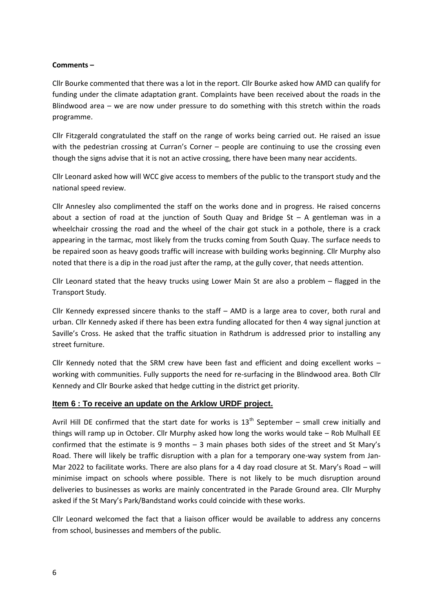### **Comments –**

Cllr Bourke commented that there was a lot in the report. Cllr Bourke asked how AMD can qualify for funding under the climate adaptation grant. Complaints have been received about the roads in the Blindwood area – we are now under pressure to do something with this stretch within the roads programme.

Cllr Fitzgerald congratulated the staff on the range of works being carried out. He raised an issue with the pedestrian crossing at Curran's Corner – people are continuing to use the crossing even though the signs advise that it is not an active crossing, there have been many near accidents.

Cllr Leonard asked how will WCC give access to members of the public to the transport study and the national speed review.

Cllr Annesley also complimented the staff on the works done and in progress. He raised concerns about a section of road at the junction of South Quay and Bridge  $St - A$  gentleman was in a wheelchair crossing the road and the wheel of the chair got stuck in a pothole, there is a crack appearing in the tarmac, most likely from the trucks coming from South Quay. The surface needs to be repaired soon as heavy goods traffic will increase with building works beginning. Cllr Murphy also noted that there is a dip in the road just after the ramp, at the gully cover, that needs attention.

Cllr Leonard stated that the heavy trucks using Lower Main St are also a problem – flagged in the Transport Study.

Cllr Kennedy expressed sincere thanks to the staff – AMD is a large area to cover, both rural and urban. Cllr Kennedy asked if there has been extra funding allocated for then 4 way signal junction at Saville's Cross. He asked that the traffic situation in Rathdrum is addressed prior to installing any street furniture.

Cllr Kennedy noted that the SRM crew have been fast and efficient and doing excellent works – working with communities. Fully supports the need for re-surfacing in the Blindwood area. Both Cllr Kennedy and Cllr Bourke asked that hedge cutting in the district get priority.

### **Item 6 : To receive an update on the Arklow URDF project.**

Avril Hill DE confirmed that the start date for works is  $13<sup>th</sup>$  September – small crew initially and things will ramp up in October. Cllr Murphy asked how long the works would take – Rob Mulhall EE confirmed that the estimate is 9 months – 3 main phases both sides of the street and St Mary's Road. There will likely be traffic disruption with a plan for a temporary one-way system from Jan-Mar 2022 to facilitate works. There are also plans for a 4 day road closure at St. Mary's Road – will minimise impact on schools where possible. There is not likely to be much disruption around deliveries to businesses as works are mainly concentrated in the Parade Ground area. Cllr Murphy asked if the St Mary's Park/Bandstand works could coincide with these works.

Cllr Leonard welcomed the fact that a liaison officer would be available to address any concerns from school, businesses and members of the public.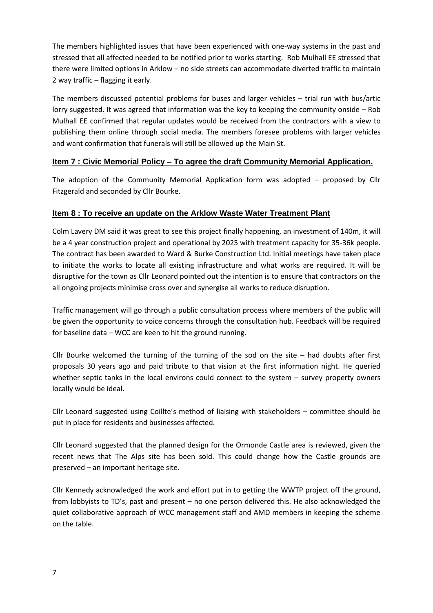The members highlighted issues that have been experienced with one-way systems in the past and stressed that all affected needed to be notified prior to works starting. Rob Mulhall EE stressed that there were limited options in Arklow – no side streets can accommodate diverted traffic to maintain 2 way traffic – flagging it early.

The members discussed potential problems for buses and larger vehicles – trial run with bus/artic lorry suggested. It was agreed that information was the key to keeping the community onside – Rob Mulhall EE confirmed that regular updates would be received from the contractors with a view to publishing them online through social media. The members foresee problems with larger vehicles and want confirmation that funerals will still be allowed up the Main St.

# **Item 7 : Civic Memorial Policy – To agree the draft Community Memorial Application.**

The adoption of the Community Memorial Application form was adopted – proposed by Cllr Fitzgerald and seconded by Cllr Bourke.

# **Item 8 : To receive an update on the Arklow Waste Water Treatment Plant**

Colm Lavery DM said it was great to see this project finally happening, an investment of 140m, it will be a 4 year construction project and operational by 2025 with treatment capacity for 35-36k people. The contract has been awarded to Ward & Burke Construction Ltd. Initial meetings have taken place to initiate the works to locate all existing infrastructure and what works are required. It will be disruptive for the town as Cllr Leonard pointed out the intention is to ensure that contractors on the all ongoing projects minimise cross over and synergise all works to reduce disruption.

Traffic management will go through a public consultation process where members of the public will be given the opportunity to voice concerns through the consultation hub. Feedback will be required for baseline data – WCC are keen to hit the ground running.

Cllr Bourke welcomed the turning of the turning of the sod on the site  $-$  had doubts after first proposals 30 years ago and paid tribute to that vision at the first information night. He queried whether septic tanks in the local environs could connect to the system – survey property owners locally would be ideal.

Cllr Leonard suggested using Coillte's method of liaising with stakeholders – committee should be put in place for residents and businesses affected.

Cllr Leonard suggested that the planned design for the Ormonde Castle area is reviewed, given the recent news that The Alps site has been sold. This could change how the Castle grounds are preserved – an important heritage site.

Cllr Kennedy acknowledged the work and effort put in to getting the WWTP project off the ground, from lobbyists to TD's, past and present – no one person delivered this. He also acknowledged the quiet collaborative approach of WCC management staff and AMD members in keeping the scheme on the table.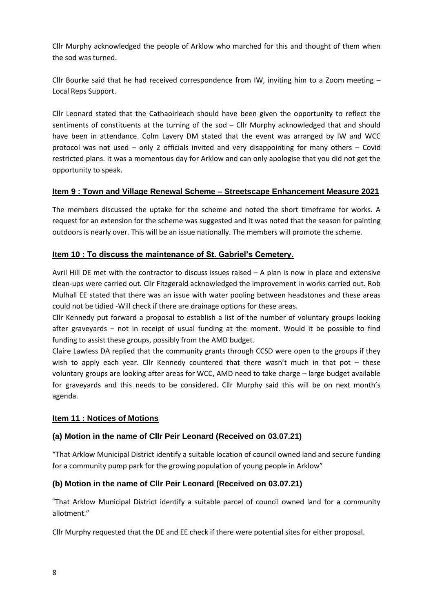Cllr Murphy acknowledged the people of Arklow who marched for this and thought of them when the sod was turned.

Cllr Bourke said that he had received correspondence from IW, inviting him to a Zoom meeting  $-$ Local Reps Support.

Cllr Leonard stated that the Cathaoirleach should have been given the opportunity to reflect the sentiments of constituents at the turning of the sod – Cllr Murphy acknowledged that and should have been in attendance. Colm Lavery DM stated that the event was arranged by IW and WCC protocol was not used – only 2 officials invited and very disappointing for many others – Covid restricted plans. It was a momentous day for Arklow and can only apologise that you did not get the opportunity to speak.

# **Item 9 : Town and Village Renewal Scheme – Streetscape Enhancement Measure 2021**

The members discussed the uptake for the scheme and noted the short timeframe for works. A request for an extension for the scheme was suggested and it was noted that the season for painting outdoors is nearly over. This will be an issue nationally. The members will promote the scheme.

## **Item 10 : To discuss the maintenance of St. Gabriel's Cemetery.**

Avril Hill DE met with the contractor to discuss issues raised – A plan is now in place and extensive clean-ups were carried out. Cllr Fitzgerald acknowledged the improvement in works carried out. Rob Mulhall EE stated that there was an issue with water pooling between headstones and these areas could not be tidied -Will check if there are drainage options for these areas.

Cllr Kennedy put forward a proposal to establish a list of the number of voluntary groups looking after graveyards – not in receipt of usual funding at the moment. Would it be possible to find funding to assist these groups, possibly from the AMD budget.

Claire Lawless DA replied that the community grants through CCSD were open to the groups if they wish to apply each year. Cllr Kennedy countered that there wasn't much in that pot – these voluntary groups are looking after areas for WCC, AMD need to take charge – large budget available for graveyards and this needs to be considered. Cllr Murphy said this will be on next month's agenda.

### **Item 11 : Notices of Motions**

# **(a) Motion in the name of Cllr Peir Leonard (Received on 03.07.21)**

"That Arklow Municipal District identify a suitable location of council owned land and secure funding for a community pump park for the growing population of young people in Arklow"

## **(b) Motion in the name of Cllr Peir Leonard (Received on 03.07.21)**

"That Arklow Municipal District identify a suitable parcel of council owned land for a community allotment."

Cllr Murphy requested that the DE and EE check if there were potential sites for either proposal.